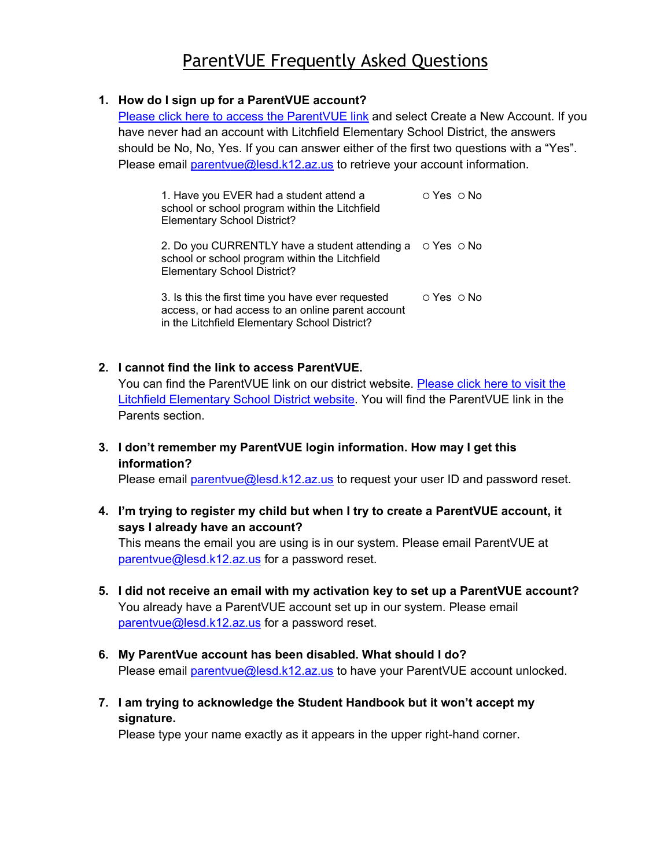# ParentVUE Frequently Asked Questions

### **1. How do I sign up for a ParentVUE account?**

[Please click here to access the](https://az-litch.edupoint.com/PXP2_Login.aspx) ParentVUE link and select Create a New Account. If you have never had an account with Litchfield Elementary School District, the answers should be No, No, Yes. If you can answer either of the first two questions with a "Yes". Please email parentyue@lesd.k12.az.us to retrieve your account information.

| 1. Have you EVER had a student attend a<br>school or school program within the Litchfield<br><b>Elementary School District?</b>                               | $\circ$ Yes $\circ$ No |
|---------------------------------------------------------------------------------------------------------------------------------------------------------------|------------------------|
| 2. Do you CURRENTLY have a student attending a $\circ$ Yes $\circ$ No<br>school or school program within the Litchfield<br><b>Elementary School District?</b> |                        |
| 3. Is this the first time you have ever requested<br>access, or had access to an online parent account<br>in the Litchfield Elementary School District?       | $\cap$ Yes $\cap$ No   |

#### **2. I cannot find the link to access ParentVUE.** You can find the ParentVUE link on our district website. [Please click here to visit the](https://www.lesd79.org/) [Litchfield Elementary School District website.](https://www.lesd79.org/) You will find the ParentVUE link in the Parents section.

**3. I don't remember my ParentVUE login information. How may I get this information?**

Please email parentyue@lesd.k12.az.us to request your user ID and password reset.

**4. I'm trying to register my child but when I try to create a ParentVUE account, it says I already have an account?**

This means the email you are using is in our system. Please email ParentVUE at [parentvue@lesd.k12.az.us](mailto:parentvue@lesd.k12.az.us) for a password reset.

- **5. I did not receive an email with my activation key to set up a ParentVUE account?** You already have a ParentVUE account set up in our system. Please email [parentvue@lesd.k12.az.us](mailto:parentvue@lesd.k12.az.us) for a password reset.
- **6. My ParentVue account has been disabled. What should I do?** Please email parentyue@lesd.k12.az.us to have your ParentVUE account unlocked.
- **7. I am trying to acknowledge the Student Handbook but it won't accept my signature.**

Please type your name exactly as it appears in the upper right-hand corner.